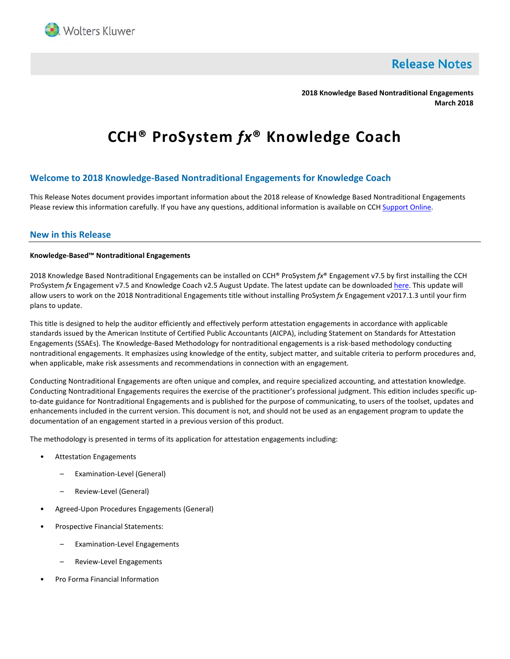

**Release Notes** 

**2018 Knowledge Based Nontraditional Engagements March 2018**

# **CCH® ProSystem** *fx***® Knowledge Coach**

# **Welcome to 2018 Knowledge-Based Nontraditional Engagements for Knowledge Coach**

This Release Notes document provides important information about the 2018 release of Knowledge Based Nontraditional Engagements Please review this information carefully. If you have any questions, additional information is available on CC[H Support Online.](http://support.cch.com/productsupport/)

## **New in this Release**

#### **Knowledge-Based™ Nontraditional Engagements**

2018 Knowledge Based Nontraditional Engagements can be installed on CCH® ProSystem *fx*® Engagement v7.5 by first installing the CCH ProSystem *fx* Engagement v7.5 and Knowledge Coach v2.5 August Update. The latest update can be downloade[d here.](https://support.cch.com/updates/Engagement/patch75/patch75.aspx) This update will allow users to work on the 2018 Nontraditional Engagements title without installing ProSystem *fx* Engagement v2017.1.3 until your firm plans to update.

This title is designed to help the auditor efficiently and effectively perform attestation engagements in accordance with applicable standards issued by the American Institute of Certified Public Accountants (AICPA), including Statement on Standards for Attestation Engagements (SSAEs). The Knowledge-Based Methodology for nontraditional engagements is a risk-based methodology conducting nontraditional engagements. It emphasizes using knowledge of the entity, subject matter, and suitable criteria to perform procedures and, when applicable, make risk assessments and recommendations in connection with an engagement.

Conducting Nontraditional Engagements are often unique and complex, and require specialized accounting, and attestation knowledge. Conducting Nontraditional Engagements requires the exercise of the practitioner's professional judgment. This edition includes specific upto-date guidance for Nontraditional Engagements and is published for the purpose of communicating, to users of the toolset, updates and enhancements included in the current version. This document is not, and should not be used as an engagement program to update the documentation of an engagement started in a previous version of this product.

The methodology is presented in terms of its application for attestation engagements including:

- Attestation Engagements
	- Examination-Level (General)
	- Review-Level (General)
- Agreed-Upon Procedures Engagements (General)
- Prospective Financial Statements:
	- Examination-Level Engagements
	- Review-Level Engagements
- Pro Forma Financial Information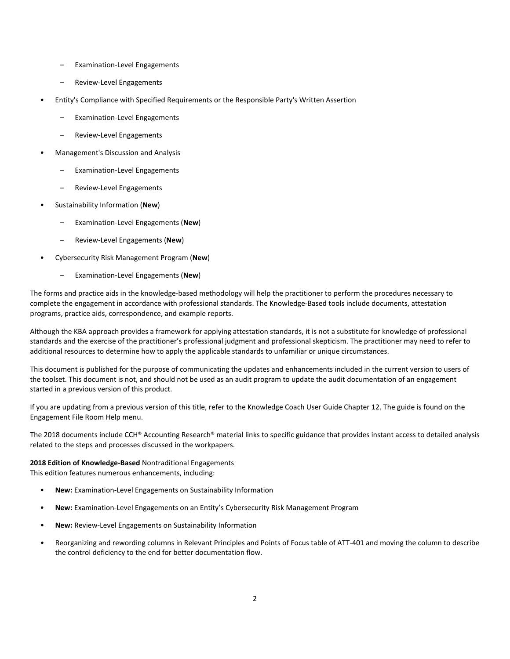- Examination-Level Engagements
- Review-Level Engagements
- Entity's Compliance with Specified Requirements or the Responsible Party's Written Assertion
	- Examination-Level Engagements
	- Review-Level Engagements
- Management's Discussion and Analysis
	- Examination-Level Engagements
	- Review-Level Engagements
- Sustainability Information (**New**)
	- Examination-Level Engagements (**New**)
	- Review-Level Engagements (**New**)
- Cybersecurity Risk Management Program (**New**)
	- Examination-Level Engagements (**New**)

The forms and practice aids in the knowledge-based methodology will help the practitioner to perform the procedures necessary to complete the engagement in accordance with professional standards. The Knowledge-Based tools include documents, attestation programs, practice aids, correspondence, and example reports.

Although the KBA approach provides a framework for applying attestation standards, it is not a substitute for knowledge of professional standards and the exercise of the practitioner's professional judgment and professional skepticism. The practitioner may need to refer to additional resources to determine how to apply the applicable standards to unfamiliar or unique circumstances.

This document is published for the purpose of communicating the updates and enhancements included in the current version to users of the toolset. This document is not, and should not be used as an audit program to update the audit documentation of an engagement started in a previous version of this product.

If you are updating from a previous version of this title, refer to the Knowledge Coach User Guide Chapter 12. The guide is found on the Engagement File Room Help menu.

The 2018 documents include CCH® Accounting Research® material links to specific guidance that provides instant access to detailed analysis related to the steps and processes discussed in the workpapers.

## **2018 Edition of Knowledge-Based** Nontraditional Engagements

This edition features numerous enhancements, including:

- **New:** Examination-Level Engagements on Sustainability Information
- **New:** Examination-Level Engagements on an Entity's Cybersecurity Risk Management Program
- **New:** Review-Level Engagements on Sustainability Information
- Reorganizing and rewording columns in Relevant Principles and Points of Focus table of ATT-401 and moving the column to describe the control deficiency to the end for better documentation flow.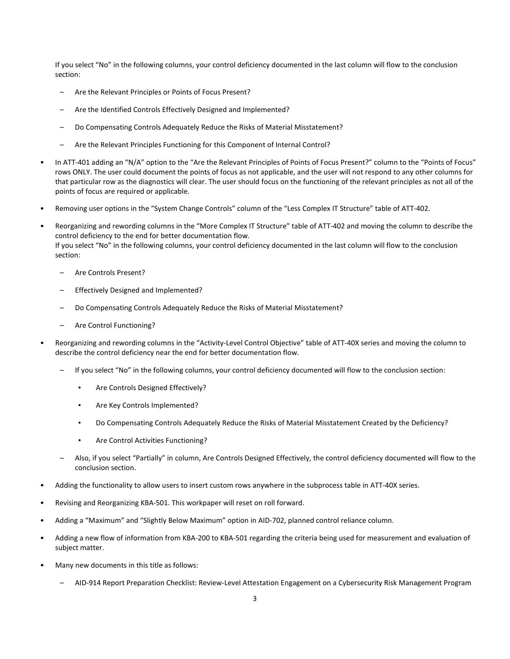If you select "No" in the following columns, your control deficiency documented in the last column will flow to the conclusion section:

- Are the Relevant Principles or Points of Focus Present?
- Are the Identified Controls Effectively Designed and Implemented?
- Do Compensating Controls Adequately Reduce the Risks of Material Misstatement?
- Are the Relevant Principles Functioning for this Component of Internal Control?
- In ATT-401 adding an "N/A" option to the "Are the Relevant Principles of Points of Focus Present?" column to the "Points of Focus" rows ONLY. The user could document the points of focus as not applicable, and the user will not respond to any other columns for that particular row as the diagnostics will clear. The user should focus on the functioning of the relevant principles as not all of the points of focus are required or applicable.
- Removing user options in the "System Change Controls" column of the "Less Complex IT Structure" table of ATT-402.
- Reorganizing and rewording columns in the "More Complex IT Structure" table of ATT-402 and moving the column to describe the control deficiency to the end for better documentation flow. If you select "No" in the following columns, your control deficiency documented in the last column will flow to the conclusion section:
	- Are Controls Present?
	- Effectively Designed and Implemented?
	- Do Compensating Controls Adequately Reduce the Risks of Material Misstatement?
	- Are Control Functioning?
- Reorganizing and rewording columns in the "Activity-Level Control Objective" table of ATT-40X series and moving the column to describe the control deficiency near the end for better documentation flow.
	- If you select "No" in the following columns, your control deficiency documented will flow to the conclusion section:
		- **Are Controls Designed Effectively?**
		- Are Key Controls Implemented?
		- Do Compensating Controls Adequately Reduce the Risks of Material Misstatement Created by the Deficiency?
		- Are Control Activities Functioning?
	- Also, if you select "Partially" in column, Are Controls Designed Effectively, the control deficiency documented will flow to the conclusion section.
- Adding the functionality to allow users to insert custom rows anywhere in the subprocess table in ATT-40X series.
- Revising and Reorganizing KBA-501. This workpaper will reset on roll forward.
- Adding a "Maximum" and "Slightly Below Maximum" option in AID-702, planned control reliance column.
- Adding a new flow of information from KBA-200 to KBA-501 regarding the criteria being used for measurement and evaluation of subject matter.
- Many new documents in this title as follows:
	- AID-914 Report Preparation Checklist: Review-Level Attestation Engagement on a Cybersecurity Risk Management Program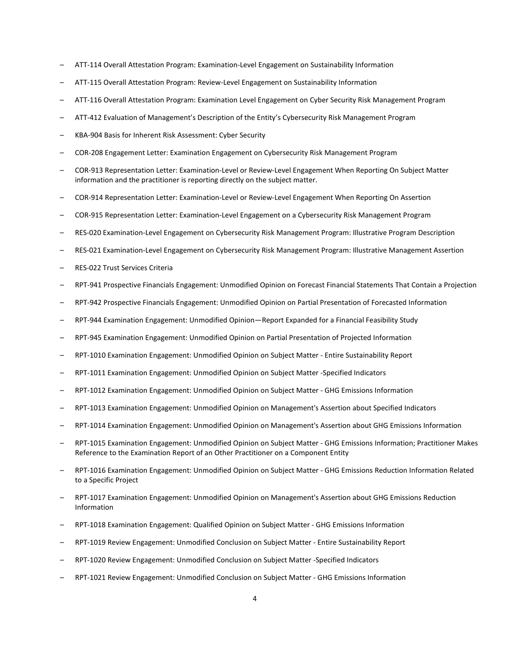- ATT-114 Overall Attestation Program: Examination-Level Engagement on Sustainability Information
- ATT-115 Overall Attestation Program: Review-Level Engagement on Sustainability Information
- ATT-116 Overall Attestation Program: Examination Level Engagement on Cyber Security Risk Management Program
- ATT-412 Evaluation of Management's Description of the Entity's Cybersecurity Risk Management Program
- KBA-904 Basis for Inherent Risk Assessment: Cyber Security
- COR-208 Engagement Letter: Examination Engagement on Cybersecurity Risk Management Program
- COR-913 Representation Letter: Examination-Level or Review-Level Engagement When Reporting On Subject Matter information and the practitioner is reporting directly on the subject matter.
- COR-914 Representation Letter: Examination-Level or Review-Level Engagement When Reporting On Assertion
- COR-915 Representation Letter: Examination-Level Engagement on a Cybersecurity Risk Management Program
- RES-020 Examination-Level Engagement on Cybersecurity Risk Management Program: Illustrative Program Description
- RES-021 Examination-Level Engagement on Cybersecurity Risk Management Program: Illustrative Management Assertion
- RES-022 Trust Services Criteria
- RPT-941 Prospective Financials Engagement: Unmodified Opinion on Forecast Financial Statements That Contain a Projection
- RPT-942 Prospective Financials Engagement: Unmodified Opinion on Partial Presentation of Forecasted Information
- RPT-944 Examination Engagement: Unmodified Opinion—Report Expanded for a Financial Feasibility Study
- RPT-945 Examination Engagement: Unmodified Opinion on Partial Presentation of Projected Information
- RPT-1010 Examination Engagement: Unmodified Opinion on Subject Matter Entire Sustainability Report
- RPT-1011 Examination Engagement: Unmodified Opinion on Subject Matter -Specified Indicators
- RPT-1012 Examination Engagement: Unmodified Opinion on Subject Matter GHG Emissions Information
- RPT-1013 Examination Engagement: Unmodified Opinion on Management's Assertion about Specified Indicators
- RPT-1014 Examination Engagement: Unmodified Opinion on Management's Assertion about GHG Emissions Information
- RPT-1015 Examination Engagement: Unmodified Opinion on Subject Matter GHG Emissions Information; Practitioner Makes Reference to the Examination Report of an Other Practitioner on a Component Entity
- RPT-1016 Examination Engagement: Unmodified Opinion on Subject Matter GHG Emissions Reduction Information Related to a Specific Project
- RPT-1017 Examination Engagement: Unmodified Opinion on Management's Assertion about GHG Emissions Reduction Information
- RPT-1018 Examination Engagement: Qualified Opinion on Subject Matter GHG Emissions Information
- RPT-1019 Review Engagement: Unmodified Conclusion on Subject Matter Entire Sustainability Report
- RPT-1020 Review Engagement: Unmodified Conclusion on Subject Matter -Specified Indicators
- RPT-1021 Review Engagement: Unmodified Conclusion on Subject Matter GHG Emissions Information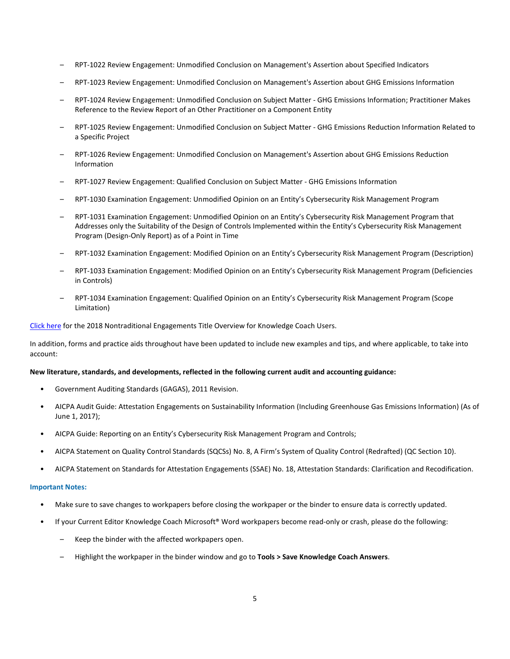- RPT-1022 Review Engagement: Unmodified Conclusion on Management's Assertion about Specified Indicators
- RPT-1023 Review Engagement: Unmodified Conclusion on Management's Assertion about GHG Emissions Information
- RPT-1024 Review Engagement: Unmodified Conclusion on Subject Matter GHG Emissions Information; Practitioner Makes Reference to the Review Report of an Other Practitioner on a Component Entity
- RPT-1025 Review Engagement: Unmodified Conclusion on Subject Matter GHG Emissions Reduction Information Related to a Specific Project
- RPT-1026 Review Engagement: Unmodified Conclusion on Management's Assertion about GHG Emissions Reduction Information
- RPT-1027 Review Engagement: Qualified Conclusion on Subject Matter GHG Emissions Information
- RPT-1030 Examination Engagement: Unmodified Opinion on an Entity's Cybersecurity Risk Management Program
- RPT-1031 Examination Engagement: Unmodified Opinion on an Entity's Cybersecurity Risk Management Program that Addresses only the Suitability of the Design of Controls Implemented within the Entity's Cybersecurity Risk Management Program (Design-Only Report) as of a Point in Time
- RPT-1032 Examination Engagement: Modified Opinion on an Entity's Cybersecurity Risk Management Program (Description)
- RPT-1033 Examination Engagement: Modified Opinion on an Entity's Cybersecurity Risk Management Program (Deficiencies in Controls)
- RPT-1034 Examination Engagement: Qualified Opinion on an Entity's Cybersecurity Risk Management Program (Scope Limitation)

#### [Click here](http://support.cch.com/updates/KnowledgeCoach/pdf/guides_tab/2018%20NTE%20Title%20Overview%20for%20Knowledge%20Coach%20Users.pdf) for the 2018 Nontraditional Engagements Title Overview for Knowledge Coach Users.

In addition, forms and practice aids throughout have been updated to include new examples and tips, and where applicable, to take into account:

#### **New literature, standards, and developments, reflected in the following current audit and accounting guidance:**

- Government Auditing Standards (GAGAS), 2011 Revision.
- AICPA Audit Guide: Attestation Engagements on Sustainability Information (Including Greenhouse Gas Emissions Information) (As of June 1, 2017);
- AICPA Guide: Reporting on an Entity's Cybersecurity Risk Management Program and Controls;
- AICPA Statement on Quality Control Standards (SQCSs) No. 8, A Firm's System of Quality Control (Redrafted) (QC Section 10).
- AICPA Statement on Standards for Attestation Engagements (SSAE) No. 18, Attestation Standards: Clarification and Recodification.

#### **Important Notes:**

- Make sure to save changes to workpapers before closing the workpaper or the binder to ensure data is correctly updated.
- If your Current Editor Knowledge Coach Microsoft® Word workpapers become read-only or crash, please do the following:
	- Keep the binder with the affected workpapers open.
	- Highlight the workpaper in the binder window and go to **Tools > Save Knowledge Coach Answers**.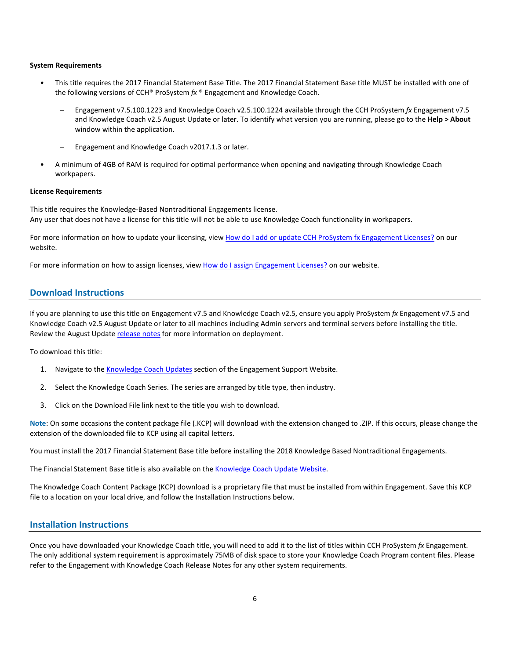#### **System Requirements**

- This title requires the 2017 Financial Statement Base Title. The 2017 Financial Statement Base title MUST be installed with one of the following versions of CCH® ProSystem *fx* ® Engagement and Knowledge Coach.
	- Engagement v7.5.100.1223 and Knowledge Coach v2.5.100.1224 available through the CCH ProSystem *fx* Engagement v7.5 and Knowledge Coach v2.5 August Update or later. To identify what version you are running, please go to the **Help > About** window within the application.
	- Engagement and Knowledge Coach v2017.1.3 or later.
- A minimum of 4GB of RAM is required for optimal performance when opening and navigating through Knowledge Coach workpapers.

#### **License Requirements**

This title requires the Knowledge-Based Nontraditional Engagements license. Any user that does not have a license for this title will not be able to use Knowledge Coach functionality in workpapers.

For more information on how to update your licensing, vie[w How do I add or update CCH ProSystem fx Engagement Licenses?](https://support.cch.com/kb/solution.aspx/sw3937) on our website.

For more information on how to assign licenses, view [How do I assign Engagement Licenses?](https://support.cch.com/kb/solution.aspx/sw3943) on our website.

## **Download Instructions**

If you are planning to use this title on Engagement v7.5 and Knowledge Coach v2.5, ensure you apply ProSystem *fx* Engagement v7.5 and Knowledge Coach v2.5 August Update or later to all machines including Admin servers and terminal servers before installing the title. Review the August Update [release notes](https://support.cch.com/updates/Engagement/patch75/Engagement%20and%20KC%20July%202017%20Update%20Release%20Notes.pdf) for more information on deployment.

To download this title:

- 1. Navigate to the [Knowledge Coach Updates](http://support.cch.com/updates/KnowledgeCoach) section of the Engagement Support Website.
- 2. Select the Knowledge Coach Series. The series are arranged by title type, then industry.
- 3. Click on the Download File link next to the title you wish to download.

**Note**: On some occasions the content package file (.KCP) will download with the extension changed to .ZIP. If this occurs, please change the extension of the downloaded file to KCP using all capital letters.

You must install the 2017 Financial Statement Base title before installing the 2018 Knowledge Based Nontraditional Engagements.

The Financial Statement Base title is also available on th[e Knowledge Coach Update Website.](http://support.cch.com/updates/KnowledgeCoach)

The Knowledge Coach Content Package (KCP) download is a proprietary file that must be installed from within Engagement. Save this KCP file to a location on your local drive, and follow the Installation Instructions below.

#### **Installation Instructions**

Once you have downloaded your Knowledge Coach title, you will need to add it to the list of titles within CCH ProSystem *fx* Engagement. The only additional system requirement is approximately 75MB of disk space to store your Knowledge Coach Program content files. Please refer to the Engagement with Knowledge Coach Release Notes for any other system requirements.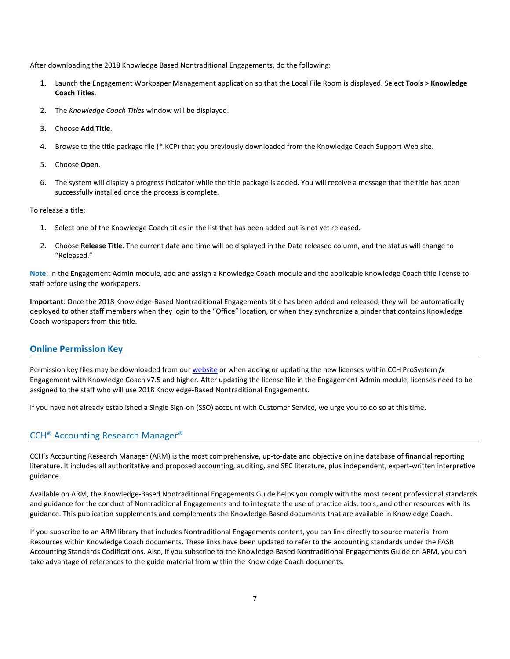After downloading the 2018 Knowledge Based Nontraditional Engagements, do the following:

- 1. Launch the Engagement Workpaper Management application so that the Local File Room is displayed. Select **Tools > Knowledge Coach Titles**.
- 2. The *Knowledge Coach Titles* window will be displayed.
- 3. Choose **Add Title**.
- 4. Browse to the title package file (\*.KCP) that you previously downloaded from the Knowledge Coach Support Web site.
- 5. Choose **Open**.
- 6. The system will display a progress indicator while the title package is added. You will receive a message that the title has been successfully installed once the process is complete.

To release a title:

- 1. Select one of the Knowledge Coach titles in the list that has been added but is not yet released.
- 2. Choose **Release Title**. The current date and time will be displayed in the Date released column, and the status will change to "Released."

**Note**: In the Engagement Admin module, add and assign a Knowledge Coach module and the applicable Knowledge Coach title license to staff before using the workpapers.

**Important**: Once the 2018 Knowledge-Based Nontraditional Engagements title has been added and released, they will be automatically deployed to other staff members when they login to the "Office" location, or when they synchronize a binder that contains Knowledge Coach workpapers from this title.

#### **Online Permission Key**

Permission key files may be downloaded from ou[r website](https://prosystemfxsupport.tax.cchgroup.com/permkey/download.aspx) or when adding or updating the new licenses within CCH ProSystem *fx* Engagement with Knowledge Coach v7.5 and higher. After updating the license file in the Engagement Admin module, licenses need to be assigned to the staff who will use 2018 Knowledge-Based Nontraditional Engagements.

If you have not already established a Single Sign-on (SSO) account with Customer Service, we urge you to do so at this time.

## CCH® Accounting Research Manager®

CCH's Accounting Research Manager (ARM) is the most comprehensive, up-to-date and objective online database of financial reporting literature. It includes all authoritative and proposed accounting, auditing, and SEC literature, plus independent, expert-written interpretive guidance.

Available on ARM, the Knowledge-Based Nontraditional Engagements Guide helps you comply with the most recent professional standards and guidance for the conduct of Nontraditional Engagements and to integrate the use of practice aids, tools, and other resources with its guidance. This publication supplements and complements the Knowledge-Based documents that are available in Knowledge Coach.

If you subscribe to an ARM library that includes Nontraditional Engagements content, you can link directly to source material from Resources within Knowledge Coach documents. These links have been updated to refer to the accounting standards under the FASB Accounting Standards Codifications. Also, if you subscribe to the Knowledge-Based Nontraditional Engagements Guide on ARM, you can take advantage of references to the guide material from within the Knowledge Coach documents.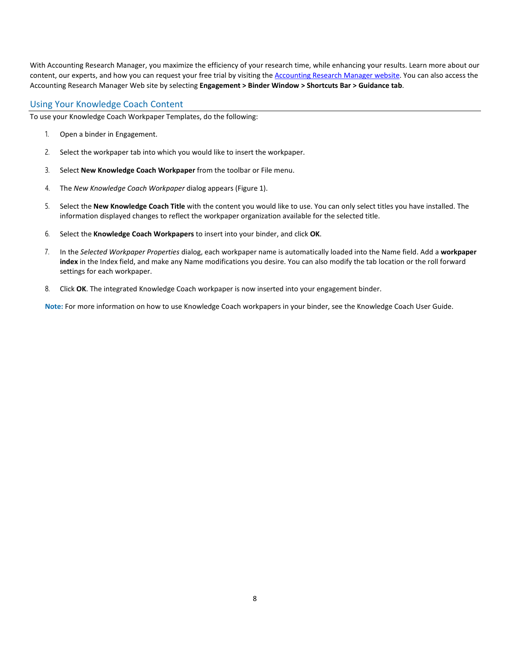With Accounting Research Manager, you maximize the efficiency of your research time, while enhancing your results. Learn more about our content, our experts, and how you can request your free trial by visiting the [Accounting Research](http://www.accountingresearchmanager.com/) Manager website. You can also access the Accounting Research Manager Web site by selecting **Engagement > Binder Window > Shortcuts Bar > Guidance tab**.

## Using Your Knowledge Coach Content

To use your Knowledge Coach Workpaper Templates, do the following:

- 1. Open a binder in Engagement.
- 2. Select the workpaper tab into which you would like to insert the workpaper.
- 3. Select **New Knowledge Coach Workpaper** from the toolbar or File menu.
- 4. The *New Knowledge Coach Workpaper* dialog appears (Figure 1).
- 5. Select the **New Knowledge Coach Title** with the content you would like to use. You can only select titles you have installed. The information displayed changes to reflect the workpaper organization available for the selected title.
- 6. Select the **Knowledge Coach Workpapers** to insert into your binder, and click **OK**.
- 7. In the *Selected Workpaper Properties* dialog, each workpaper name is automatically loaded into the Name field. Add a **workpaper index** in the Index field, and make any Name modifications you desire. You can also modify the tab location or the roll forward settings for each workpaper.
- 8. Click **OK**. The integrated Knowledge Coach workpaper is now inserted into your engagement binder.

**Note:** For more information on how to use Knowledge Coach workpapers in your binder, see the Knowledge Coach User Guide.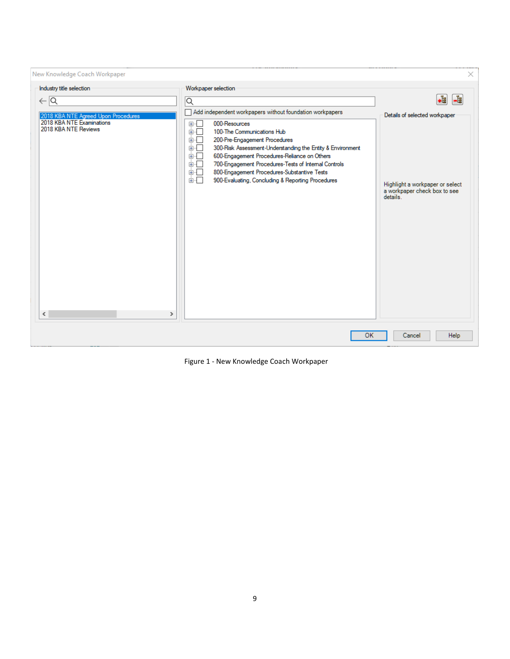| New Knowledge Coach Workpaper                                                                                                                                                                             |                                                                                                                                                                                                                                                                                                                                                                                                                                                                                                                          | ×                                                                                                                       |
|-----------------------------------------------------------------------------------------------------------------------------------------------------------------------------------------------------------|--------------------------------------------------------------------------------------------------------------------------------------------------------------------------------------------------------------------------------------------------------------------------------------------------------------------------------------------------------------------------------------------------------------------------------------------------------------------------------------------------------------------------|-------------------------------------------------------------------------------------------------------------------------|
| Industry title selection<br>$\leftarrow$ $\overline{\mathsf{Q}}$<br>2018 KBA NTE Agreed Upon Procedures<br>2018 KBA NTE Examinations<br>2018 KBA NTE Reviews<br>$\overline{\phantom{a}}$<br>$\rightarrow$ | Workpaper selection<br>$\overline{\mathsf{Q}}$<br>Add independent workpapers without foundation workpapers<br>000-Resources<br>国业<br>ĖF.<br>100-The Communications Hub<br>200-Pre-Engagement Procedures<br>画画<br>300-Risk Assessment-Understanding the Entity & Environment<br>由…<br>600-Engagement Procedures-Reliance on Others<br>面「<br>700-Engagement Procedures-Tests of Internal Controls<br>面一<br>800-Engagement Procedures-Substantive Tests<br>ங்√⊓<br>面切口<br>900-Evaluating, Concluding & Reporting Procedures | •ª<br>-å<br>Details of selected workpaper<br>Highlight a workpaper or select<br>a workpaper check box to see<br>details |
|                                                                                                                                                                                                           | OK                                                                                                                                                                                                                                                                                                                                                                                                                                                                                                                       | Help<br>Cancel                                                                                                          |

Figure 1 - New Knowledge Coach Workpaper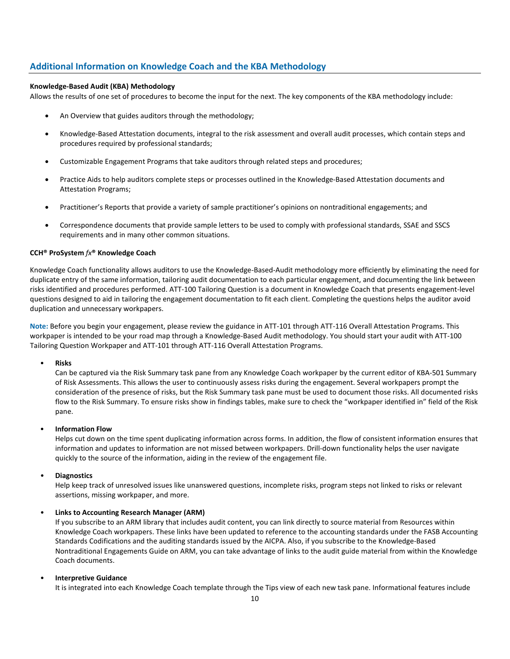# **Additional Information on Knowledge Coach and the KBA Methodology**

#### **Knowledge-Based Audit (KBA) Methodology**

Allows the results of one set of procedures to become the input for the next. The key components of the KBA methodology include:

- An Overview that guides auditors through the methodology;
- Knowledge-Based Attestation documents, integral to the risk assessment and overall audit processes, which contain steps and procedures required by professional standards;
- Customizable Engagement Programs that take auditors through related steps and procedures;
- Practice Aids to help auditors complete steps or processes outlined in the Knowledge-Based Attestation documents and Attestation Programs;
- Practitioner's Reports that provide a variety of sample practitioner's opinions on nontraditional engagements; and
- Correspondence documents that provide sample letters to be used to comply with professional standards, SSAE and SSCS requirements and in many other common situations.

#### **CCH® ProSystem** *fx***® Knowledge Coach**

Knowledge Coach functionality allows auditors to use the Knowledge-Based-Audit methodology more efficiently by eliminating the need for duplicate entry of the same information, tailoring audit documentation to each particular engagement, and documenting the link between risks identified and procedures performed. ATT-100 Tailoring Question is a document in Knowledge Coach that presents engagement-level questions designed to aid in tailoring the engagement documentation to fit each client. Completing the questions helps the auditor avoid duplication and unnecessary workpapers.

**Note:** Before you begin your engagement, please review the guidance in ATT-101 through ATT-116 Overall Attestation Programs. This workpaper is intended to be your road map through a Knowledge-Based Audit methodology. You should start your audit with ATT-100 Tailoring Question Workpaper and ATT-101 through ATT-116 Overall Attestation Programs.

#### • **Risks**

Can be captured via the Risk Summary task pane from any Knowledge Coach workpaper by the current editor of KBA-501 Summary of Risk Assessments. This allows the user to continuously assess risks during the engagement. Several workpapers prompt the consideration of the presence of risks, but the Risk Summary task pane must be used to document those risks. All documented risks flow to the Risk Summary. To ensure risks show in findings tables, make sure to check the "workpaper identified in" field of the Risk pane.

#### • **Information Flow**

Helps cut down on the time spent duplicating information across forms. In addition, the flow of consistent information ensures that information and updates to information are not missed between workpapers. Drill-down functionality helps the user navigate quickly to the source of the information, aiding in the review of the engagement file.

## • **Diagnostics**

Help keep track of unresolved issues like unanswered questions, incomplete risks, program steps not linked to risks or relevant assertions, missing workpaper, and more.

## • **Links to Accounting Research Manager (ARM)**

If you subscribe to an ARM library that includes audit content, you can link directly to source material from Resources within Knowledge Coach workpapers. These links have been updated to reference to the accounting standards under the FASB Accounting Standards Codifications and the auditing standards issued by the AICPA. Also, if you subscribe to the Knowledge-Based Nontraditional Engagements Guide on ARM, you can take advantage of links to the audit guide material from within the Knowledge Coach documents.

## • **Interpretive Guidance**

It is integrated into each Knowledge Coach template through the Tips view of each new task pane. Informational features include